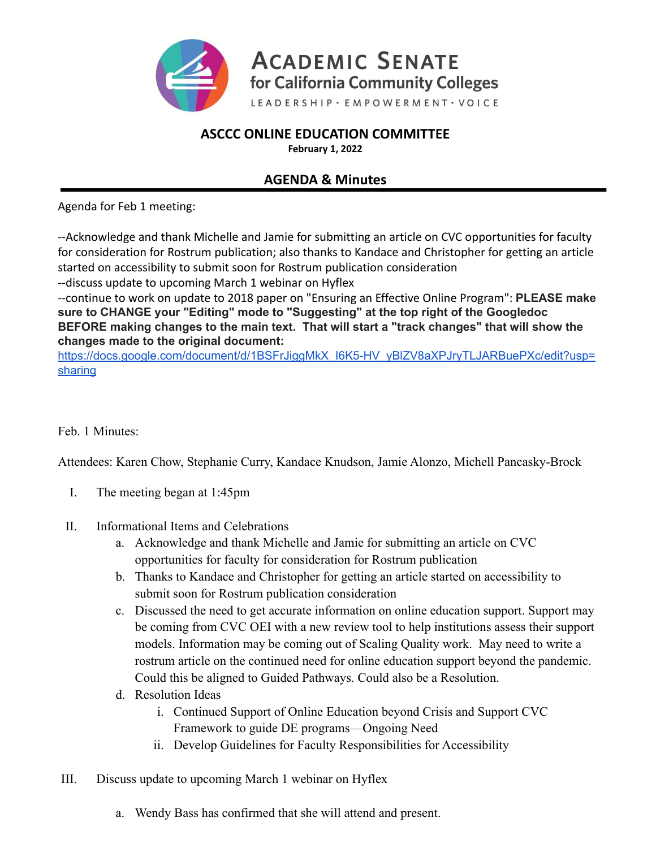

## **ASCCC ONLINE EDUCATION COMMITTEE**

**February 1, 2022**

## **AGENDA & Minutes**

Agenda for Feb 1 meeting:

--Acknowledge and thank Michelle and Jamie for submitting an article on CVC opportunities for faculty for consideration for Rostrum publication; also thanks to Kandace and Christopher for getting an article started on accessibility to submit soon for Rostrum publication consideration

--discuss update to upcoming March 1 webinar on Hyflex

--continue to work on update to 2018 paper on "Ensuring an Effective Online Program": **PLEASE make sure to CHANGE your "Editing" mode to "Suggesting" at the top right of the Googledoc BEFORE making changes to the main text. That will start a "track changes" that will show the changes made to the original document:**

https://docs.google.com/document/d/1BSFrJiggMkX\_I6K5-HV\_yBIZV8aXPJryTLJARBuePXc/edit?usp= [sharing](https://docs.google.com/document/d/1BSFrJiggMkX_I6K5-HV_yBlZV8aXPJryTLJARBuePXc/edit?usp=sharing)

## Feb. 1 Minutes:

Attendees: Karen Chow, Stephanie Curry, Kandace Knudson, Jamie Alonzo, Michell Pancasky-Brock

- I. The meeting began at 1:45pm
- II. Informational Items and Celebrations
	- a. Acknowledge and thank Michelle and Jamie for submitting an article on CVC opportunities for faculty for consideration for Rostrum publication
	- b. Thanks to Kandace and Christopher for getting an article started on accessibility to submit soon for Rostrum publication consideration
	- c. Discussed the need to get accurate information on online education support. Support may be coming from CVC OEI with a new review tool to help institutions assess their support models. Information may be coming out of Scaling Quality work. May need to write a rostrum article on the continued need for online education support beyond the pandemic. Could this be aligned to Guided Pathways. Could also be a Resolution.
	- d. Resolution Ideas
		- i. Continued Support of Online Education beyond Crisis and Support CVC Framework to guide DE programs—Ongoing Need
		- ii. Develop Guidelines for Faculty Responsibilities for Accessibility
- III. Discuss update to upcoming March 1 webinar on Hyflex
	- a. Wendy Bass has confirmed that she will attend and present.